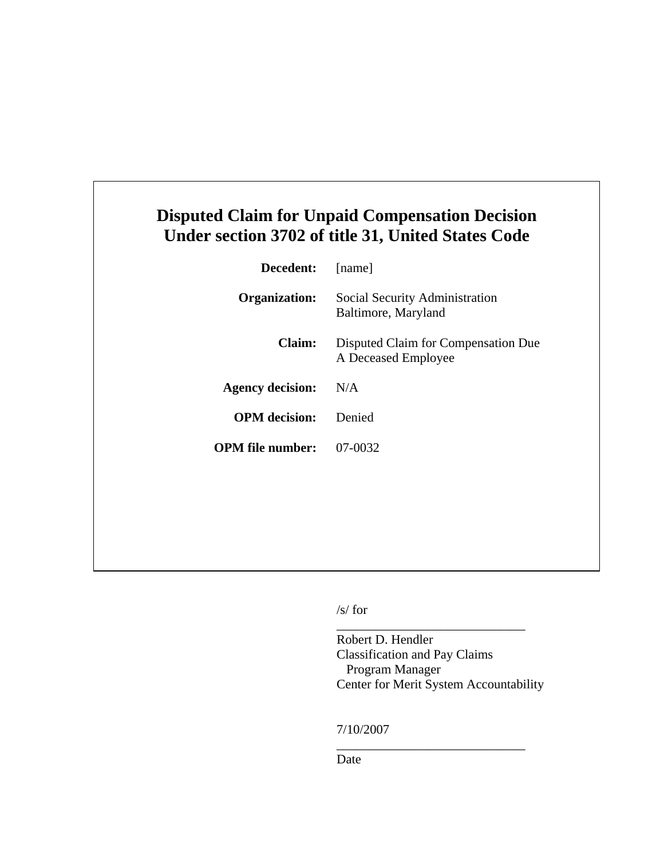## **Disputed Claim for Unpaid Compensation Decision Under section 3702 of title 31, United States Code**

| Decedent:               | [name]                                                     |
|-------------------------|------------------------------------------------------------|
| <b>Organization:</b>    | Social Security Administration<br>Baltimore, Maryland      |
| Claim:                  | Disputed Claim for Compensation Due<br>A Deceased Employee |
| <b>Agency decision:</b> | N/A                                                        |
| <b>OPM</b> decision:    | Denied                                                     |
| <b>OPM</b> file number: | 07-0032                                                    |
|                         |                                                            |

/s/ for

Robert D. Hendler Classification and Pay Claims Program Manager Center for Merit System Accountability

\_\_\_\_\_\_\_\_\_\_\_\_\_\_\_\_\_\_\_\_\_\_\_\_\_\_\_\_\_

\_\_\_\_\_\_\_\_\_\_\_\_\_\_\_\_\_\_\_\_\_\_\_\_\_\_\_\_\_

7/10/2007

Date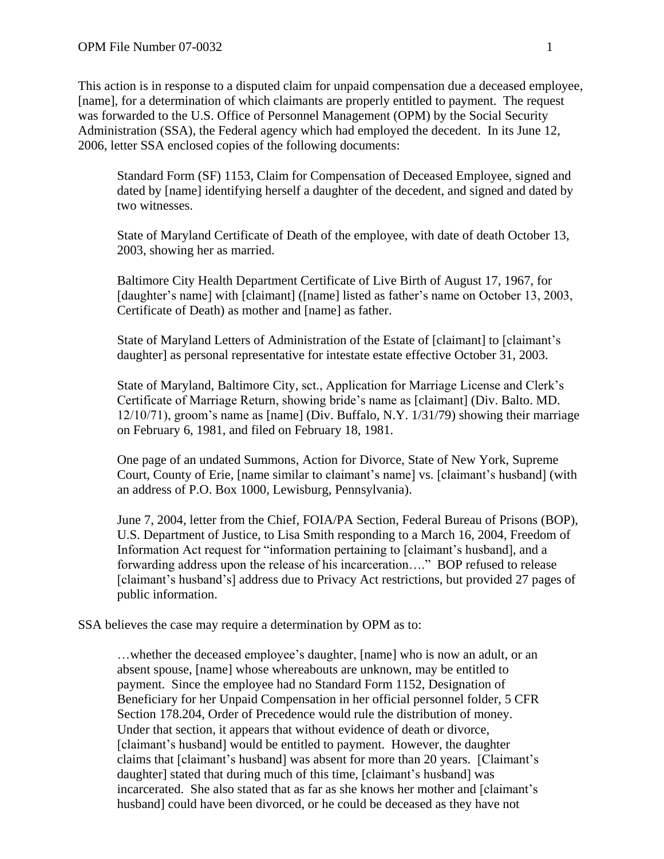This action is in response to a disputed claim for unpaid compensation due a deceased employee, [name], for a determination of which claimants are properly entitled to payment. The request was forwarded to the U.S. Office of Personnel Management (OPM) by the Social Security Administration (SSA), the Federal agency which had employed the decedent. In its June 12, 2006, letter SSA enclosed copies of the following documents:

Standard Form (SF) 1153, Claim for Compensation of Deceased Employee, signed and dated by [name] identifying herself a daughter of the decedent, and signed and dated by two witnesses.

State of Maryland Certificate of Death of the employee, with date of death October 13, 2003, showing her as married.

Baltimore City Health Department Certificate of Live Birth of August 17, 1967, for [daughter's name] with [claimant] ([name] listed as father's name on October 13, 2003, Certificate of Death) as mother and [name] as father.

State of Maryland Letters of Administration of the Estate of [claimant] to [claimant's daughter] as personal representative for intestate estate effective October 31, 2003.

State of Maryland, Baltimore City, sct., Application for Marriage License and Clerk's Certificate of Marriage Return, showing bride's name as [claimant] (Div. Balto. MD. 12/10/71), groom's name as [name] (Div. Buffalo, N.Y. 1/31/79) showing their marriage on February 6, 1981, and filed on February 18, 1981.

One page of an undated Summons, Action for Divorce, State of New York, Supreme Court, County of Erie, [name similar to claimant's name] vs. [claimant's husband] (with an address of P.O. Box 1000, Lewisburg, Pennsylvania).

June 7, 2004, letter from the Chief, FOIA/PA Section, Federal Bureau of Prisons (BOP), U.S. Department of Justice, to Lisa Smith responding to a March 16, 2004, Freedom of Information Act request for "information pertaining to [claimant's husband], and a forwarding address upon the release of his incarceration…." BOP refused to release [claimant's husband's] address due to Privacy Act restrictions, but provided 27 pages of public information.

SSA believes the case may require a determination by OPM as to:

…whether the deceased employee's daughter, [name] who is now an adult, or an absent spouse, [name] whose whereabouts are unknown, may be entitled to payment. Since the employee had no Standard Form 1152, Designation of Beneficiary for her Unpaid Compensation in her official personnel folder, 5 CFR Section 178.204, Order of Precedence would rule the distribution of money. Under that section, it appears that without evidence of death or divorce, [claimant's husband] would be entitled to payment. However, the daughter claims that [claimant's husband] was absent for more than 20 years. [Claimant's daughter] stated that during much of this time, [claimant's husband] was incarcerated. She also stated that as far as she knows her mother and [claimant's husband] could have been divorced, or he could be deceased as they have not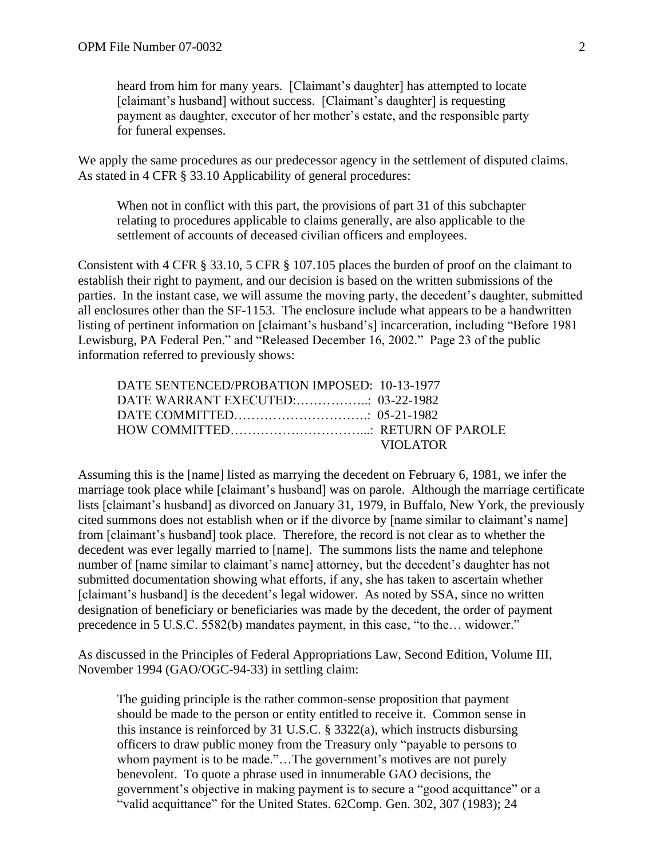heard from him for many years. [Claimant's daughter] has attempted to locate [claimant's husband] without success. [Claimant's daughter] is requesting payment as daughter, executor of her mother's estate, and the responsible party for funeral expenses.

We apply the same procedures as our predecessor agency in the settlement of disputed claims. As stated in 4 CFR § 33.10 Applicability of general procedures:

When not in conflict with this part, the provisions of part 31 of this subchapter relating to procedures applicable to claims generally, are also applicable to the settlement of accounts of deceased civilian officers and employees.

Consistent with 4 CFR § 33.10, 5 CFR § 107.105 places the burden of proof on the claimant to establish their right to payment, and our decision is based on the written submissions of the parties. In the instant case, we will assume the moving party, the decedent's daughter, submitted all enclosures other than the SF-1153. The enclosure include what appears to be a handwritten listing of pertinent information on [claimant's husband's] incarceration, including "Before 1981 Lewisburg, PA Federal Pen." and "Released December 16, 2002." Page 23 of the public information referred to previously shows:

| DATE SENTENCED/PROBATION IMPOSED: 10-13-1977 |          |
|----------------------------------------------|----------|
|                                              |          |
|                                              |          |
|                                              |          |
|                                              | VIOLATOR |

Assuming this is the [name] listed as marrying the decedent on February 6, 1981, we infer the marriage took place while [claimant's husband] was on parole. Although the marriage certificate lists [claimant's husband] as divorced on January 31, 1979, in Buffalo, New York, the previously cited summons does not establish when or if the divorce by [name similar to claimant's name] from [claimant's husband] took place. Therefore, the record is not clear as to whether the decedent was ever legally married to [name]. The summons lists the name and telephone number of [name similar to claimant's name] attorney, but the decedent's daughter has not submitted documentation showing what efforts, if any, she has taken to ascertain whether [claimant's husband] is the decedent's legal widower. As noted by SSA, since no written designation of beneficiary or beneficiaries was made by the decedent, the order of payment precedence in 5 U.S.C. 5582(b) mandates payment, in this case, "to the… widower."

As discussed in the Principles of Federal Appropriations Law, Second Edition, Volume III, November 1994 (GAO/OGC-94-33) in settling claim:

The guiding principle is the rather common-sense proposition that payment should be made to the person or entity entitled to receive it. Common sense in this instance is reinforced by 31 U.S.C. § 3322(a), which instructs disbursing officers to draw public money from the Treasury only "payable to persons to whom payment is to be made."...The government's motives are not purely benevolent. To quote a phrase used in innumerable GAO decisions, the government's objective in making payment is to secure a "good acquittance" or a "valid acquittance" for the United States. 62Comp. Gen. 302, 307 (1983); 24